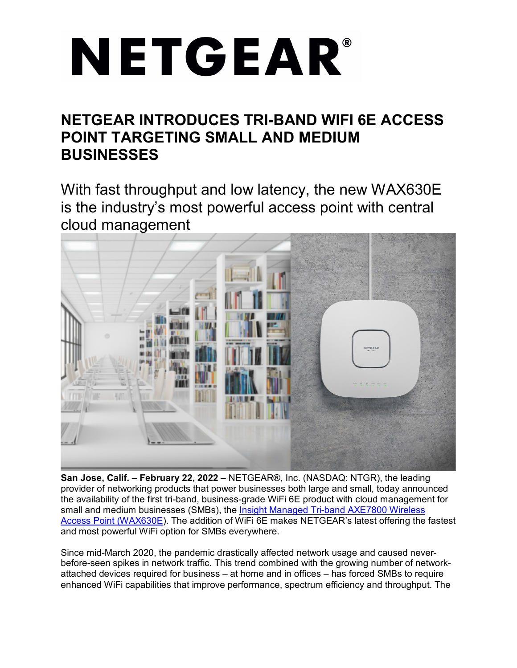# NETGEAR®

# **NETGEAR INTRODUCES TRI-BAND WIFI 6E ACCESS POINT TARGETING SMALL AND MEDIUM BUSINESSES**

With fast throughput and low latency, the new WAX630E is the industry's most powerful access point with central cloud management



**San Jose, Calif. – February 22, 2022** – NETGEAR®, Inc. (NASDAQ: NTGR), the leading provider of networking products that power businesses both large and small, today announced the availability of the first tri-band, business-grade WiFi 6E product with cloud management for small and medium businesses (SMBs), the [Insight Managed Tri-band AXE7800 Wireless](http://www.netgear.com/wax630e)  [Access Point \(WAX630E\)](http://www.netgear.com/wax630e). The addition of WiFi 6E makes NETGEAR's latest offering the fastest and most powerful WiFi option for SMBs everywhere.

Since mid-March 2020, the pandemic drastically affected network usage and caused neverbefore-seen spikes in network traffic. This trend combined with the growing number of networkattached devices required for business – at home and in offices – has forced SMBs to require enhanced WiFi capabilities that improve performance, spectrum efficiency and throughput. The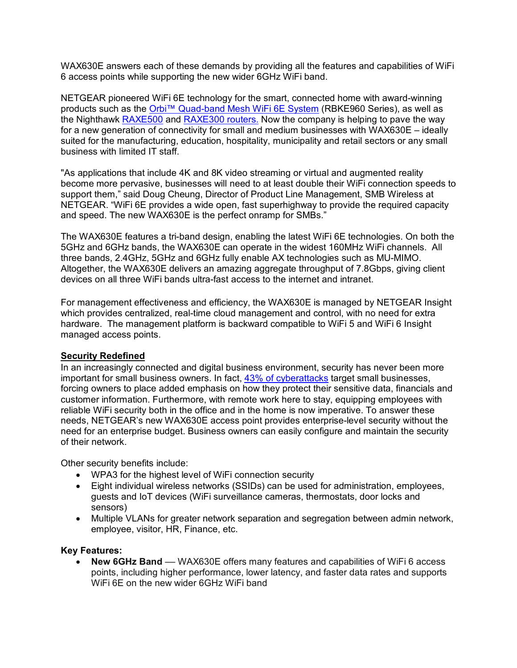WAX630E answers each of these demands by providing all the features and capabilities of WiFi 6 access points while supporting the new wider 6GHz WiFi band.

NETGEAR pioneered WiFi 6E technology for the smart, connected home with award-winning products such as the [Orbi™ Quad-band Mesh WiFi 6E System](https://www.netgear.com/home/wifi/mesh/rbke963/) (RBKE960 Series), as well as the Nighthawk **RAXE500** and [RAXE300](https://www.netgear.com/home/wifi/routers/raxe300/) routers. Now the company is helping to pave the way for a new generation of connectivity for small and medium businesses with WAX630E – ideally suited for the manufacturing, education, hospitality, municipality and retail sectors or any small business with limited IT staff.

"As applications that include 4K and 8K video streaming or virtual and augmented reality become more pervasive, businesses will need to at least double their WiFi connection speeds to support them," said Doug Cheung, Director of Product Line Management, SMB Wireless at NETGEAR. "WiFi 6E provides a wide open, fast superhighway to provide the required capacity and speed. The new WAX630E is the perfect onramp for SMBs."

The WAX630E features a tri-band design, enabling the latest WiFi 6E technologies. On both the 5GHz and 6GHz bands, the WAX630E can operate in the widest 160MHz WiFi channels. All three bands, 2.4GHz, 5GHz and 6GHz fully enable AX technologies such as MU-MIMO. Altogether, the WAX630E delivers an amazing aggregate throughput of 7.8Gbps, giving client devices on all three WiFi bands ultra-fast access to the internet and intranet.

For management effectiveness and efficiency, the WAX630E is managed by NETGEAR Insight which provides centralized, real-time cloud management and control, with no need for extra hardware. The management platform is backward compatible to WiFi 5 and WiFi 6 Insight managed access points.

#### **Security Redefined**

In an increasingly connected and digital business environment, security has never been more important for small business owners. In fact, [43% of cyberattacks](https://www.ntiva.com/blog/cyber-security-threats-why-hackers-target-small-businesses) target small businesses, forcing owners to place added emphasis on how they protect their sensitive data, financials and customer information. Furthermore, with remote work here to stay, equipping employees with reliable WiFi security both in the office and in the home is now imperative. To answer these needs, NETGEAR's new WAX630E access point provides enterprise-level security without the need for an enterprise budget. Business owners can easily configure and maintain the security of their network.

Other security benefits include:

- WPA3 for the highest level of WiFi connection security
- Eight individual wireless networks (SSIDs) can be used for administration, employees, guests and IoT devices (WiFi surveillance cameras, thermostats, door locks and sensors)
- Multiple VLANs for greater network separation and segregation between admin network, employee, visitor, HR, Finance, etc.

#### **Key Features:**

• **New 6GHz Band** –– WAX630E offers many features and capabilities of WiFi 6 access points, including higher performance, lower latency, and faster data rates and supports WiFi 6E on the new wider 6GHz WiFi band